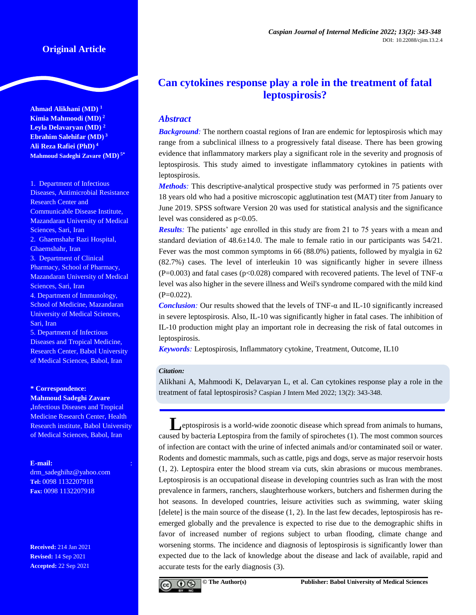# **Original Article**

**Ahmad Alikhani (MD) <sup>1</sup> Kimia Mahmoodi (MD) <sup>2</sup> Leyla Delavaryan (MD) <sup>2</sup> Ebrahim Salehifar (MD) <sup>3</sup> Ali Reza Rafiei (PhD) <sup>4</sup> Mahmoud Sadeghi Zavare (MD) 5\***

1. Department of Infectious Diseases, Antimicrobial Resistance Research Center and Communicable Disease Institute, Mazandaran University of Medical Sciences, Sari, Iran 2. Ghaemshahr Razi Hospital, Ghaemshahr, Iran 3. Department of Clinical Pharmacy, School of Pharmacy, Mazandaran University of Medical Sciences, Sari, Iran 4. Department of Immunology, School of Medicine, Mazandaran University of Medical Sciences, Sari, Iran 5. Department of Infectious Diseases and Tropical Medicine, Research Center, Babol University

of Medical Sciences, Babol, Iran

#### **\* Correspondence: Mahmoud Sadeghi Zavare**

**,**Infectious Diseases and Tropical Medicine Research Center, Health Research institute, Babol University of Medical Sciences, Babol, Iran

# **E-mail:**

[drm\\_sadeghihz@yahoo.com](mailto:drm_sadeghihz@yahoo.com) **Tel:** 0098 1132207918 **Fax:** 0098 1132207918

**Received:** 214 Jan 2021 **Revised:** 14 Sep 2021 **Accepted:** 22 Sep 2021

# **Can cytokines response play a role in the treatment of fatal leptospirosis?**

# *Abstract*

**Background**: The northern coastal regions of Iran are endemic for leptospirosis which may range from a subclinical illness to a progressively fatal disease. There has been growing evidence that inflammatory markers play a significant role in the severity and prognosis of leptospirosis. This study aimed to investigate inflammatory cytokines in patients with leptospirosis.

*Methods:* This descriptive-analytical prospective study was performed in 75 patients over 18 years old who had a positive microscopic agglutination test (MAT) titer from January to June 2019. SPSS software Version 20 was used for statistical analysis and the significance level was considered as  $p<0.05$ .

**Results**: The patients' age enrolled in this study are from 21 to 75 years with a mean and standard deviation of  $48.6 \pm 14.0$ . The male to female ratio in our participants was  $54/21$ . Fever was the most common symptoms in 66 (88.0%) patients, followed by myalgia in 62 (82.7%) cases. The level of interleukin 10 was significantly higher in severe illness (P=0.003) and fatal cases (p<0.028) compared with recovered patients. The level of TNF- $\alpha$ level was also higher in the severe illness and Weil's syndrome compared with the mild kind  $(P=0.022)$ .

*Conclusion:* Our results showed that the levels of TNF- $\alpha$  and IL-10 significantly increased in severe leptospirosis. Also, IL-10 was significantly higher in fatal cases. The inhibition of IL-10 production might play an important role in decreasing the risk of fatal outcomes in leptospirosis.

*Keywords:* Leptospirosis, Inflammatory cytokine, Treatment, Outcome, IL10

## *Citation:*

Alikhani A, Mahmoodi K, Delavaryan L, et al. Can cytokines response play a role in the treatment of fatal leptospirosis? Caspian J Intern Med 2022; 13(2): 343-348.

**L**eptospirosis is a world-wide zoonotic disease which spread from animals to humans, caused by bacteria Leptospira from the family of spirochetes [\(1\)](#page-4-0). The most common sources of infection are contact with the urine of infected animals and/or contaminated soil or water. Rodents and domestic mammals, such as cattle, pigs and dogs, serve as major reservoir hosts [\(1,](#page-4-0) [2\)](#page-4-1). Leptospira enter the blood stream via cuts, skin abrasions or mucous membranes. Leptospirosis is an occupational disease in developing countries such as Iran with the most prevalence in farmers, ranchers, slaughterhouse workers, butchers and fishermen during the hot seasons. In developed countries, leisure activities such as swimming, water skiing [delete] is the main source of the disease  $(1, 2)$  $(1, 2)$ . In the last few decades, leptospirosis has reemerged globally and the prevalence is expected to rise due to the demographic shifts in favor of increased number of regions subject to urban flooding, climate change and worsening storms. The incidence and diagnosis of leptospirosis is significantly lower than expected due to the lack of knowledge about the disease and lack of available, rapid and accurate tests for the early diagnosis [\(3\)](#page-4-2).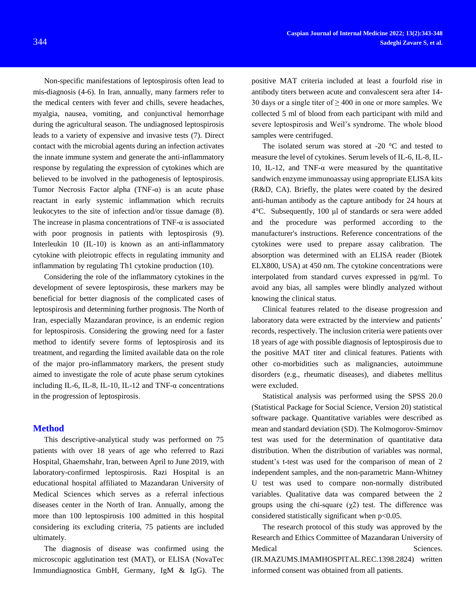Non-specific manifestations of leptospirosis often lead to mis-diagnosis [\(4-6\)](#page-4-3). In Iran, annually, many farmers refer to the medical centers with fever and chills, severe headaches, myalgia, nausea, vomiting, and conjunctival hemorrhage during the agricultural season. The undiagnosed leptospirosis leads to a variety of expensive and invasive tests [\(7\)](#page-4-4). Direct contact with the microbial agents during an infection activates the innate immune system and generate the anti-inflammatory response by regulating the expression of cytokines which are believed to be involved in the pathogenesis of leptospirosis. Tumor Necrosis Factor alpha (TNF- $\alpha$ ) is an acute phase reactant in early systemic inflammation which recruits leukocytes to the site of infection and/or tissue damage [\(8\)](#page-4-5). The increase in plasma concentrations of TNF- $\alpha$  is associated with poor prognosis in patients with leptospirosis  $(9)$ . Interleukin 10 (IL-10) is known as an anti-inflammatory cytokine with pleiotropic effects in regulating immunity and inflammation by regulating Th1 cytokine production [\(10\)](#page-4-7).

Considering the role of the inflammatory cytokines in the development of severe leptospirosis, these markers may be beneficial for better diagnosis of the complicated cases of leptospirosis and determining further prognosis. The North of Iran, especially Mazandaran province, is an endemic region for leptospirosis. Considering the growing need for a faster method to identify severe forms of leptospirosis and its treatment, and regarding the limited available data on the role of the major pro-inflammatory markers, the present study aimed to investigate the role of acute phase serum cytokines including IL-6, IL-8, IL-10, IL-12 and TNF- $\alpha$  concentrations in the progression of leptospirosis.

## **Method**

This descriptive-analytical study was performed on 75 patients with over 18 years of age who referred to Razi Hospital, Ghaemshahr, Iran, between April to June 2019, with laboratory-confirmed leptospirosis. Razi Hospital is an educational hospital affiliated to Mazandaran University of Medical Sciences which serves as a referral infectious diseases center in the North of Iran. Annually, among the more than 100 leptospirosis 100 admitted in this hospital considering its excluding criteria, 75 patients are included ultimately.

The diagnosis of disease was confirmed using the microscopic agglutination test (MAT), or ELISA (NovaTec Immundiagnostica GmbH, Germany, IgM & IgG). The

positive MAT criteria included at least a fourfold rise in antibody titers between acute and convalescent sera after 14- 30 days or a single titer of  $\geq$  400 in one or more samples. We collected 5 ml of blood from each participant with mild and severe leptospirosis and Weil's syndrome. The whole blood samples were centrifuged.

The isolated serum was stored at -20 °C and tested to measure the level of cytokines. Serum levels of IL-6, IL-8, IL-10, IL-12, and TNF- $\alpha$  were measured by the quantitative sandwich enzyme immunoassay using appropriate ELISA kits (R&D, CA). Briefly, the plates were coated by the desired anti-human antibody as the capture antibody for 24 hours at 4°C. Subsequently, 100 μl of standards or sera were added and the procedure was performed according to the manufacturer's instructions. Reference concentrations of the cytokines were used to prepare assay calibration. The absorption was determined with an ELISA reader (Biotek ELX800, USA) at 450 nm. The cytokine concentrations were interpolated from standard curves expressed in pg/ml. To avoid any bias, all samples were blindly analyzed without knowing the clinical status.

Clinical features related to the disease progression and laboratory data were extracted by the interview and patients' records, respectively. The inclusion criteria were patients over 18 years of age with possible diagnosis of leptospirosis due to the positive MAT titer and clinical features. Patients with other co-morbidities such as malignancies, autoimmune disorders (e.g., rheumatic diseases), and diabetes mellitus were excluded.

Statistical analysis was performed using the SPSS 20.0 (Statistical Package for Social Science, Version 20) statistical software package. Quantitative variables were described as mean and standard deviation (SD). The Kolmogorov-Smirnov test was used for the determination of quantitative data distribution. When the distribution of variables was normal, student's t-test was used for the comparison of mean of 2 independent samples, and the non-parametric Mann-Whitney U test was used to compare non-normally distributed variables. Qualitative data was compared between the 2 groups using the chi-square  $(\chi^2)$  test. The difference was considered statistically significant when p<0.05.

The research protocol of this study was approved by the Research and Ethics Committee of Mazandaran University of Medical Sciences. (IR.MAZUMS.IMAMHOSPITAL.REC.1398.2824) written informed consent was obtained from all patients.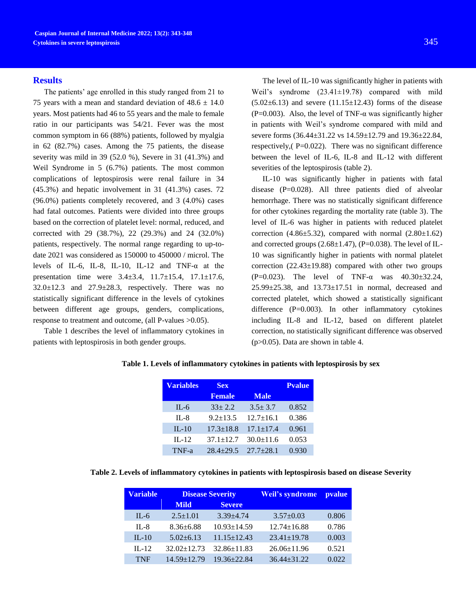#### **Results**

The patients' age enrolled in this study ranged from 21 to 75 years with a mean and standard deviation of  $48.6 \pm 14.0$ years. Most patients had 46 to 55 years and the male to female ratio in our participants was 54/21. Fever was the most common symptom in 66 (88%) patients, followed by myalgia in 62 (82.7%) cases. Among the 75 patients, the disease severity was mild in 39 (52.0 %), Severe in 31 (41.3%) and Weil Syndrome in 5 (6.7%) patients. The most common complications of leptospirosis were renal failure in 34 (45.3%) and hepatic involvement in 31 (41.3%) cases. 72 (96.0%) patients completely recovered, and 3 (4.0%) cases had fatal outcomes. Patients were divided into three groups based on the correction of platelet level: normal, reduced, and corrected with 29 (38.7%), 22 (29.3%) and 24 (32.0%) patients, respectively. The normal range regarding to up-todate 2021 was considered as 150000 to 450000 / microl. The levels of IL-6, IL-8, IL-10, IL-12 and TNF-α at the presentation time were 3.4±3.4, 11.7±15.4, 17.1±17.6,  $32.0 \pm 12.3$  and  $27.9 \pm 28.3$ , respectively. There was no statistically significant difference in the levels of cytokines between different age groups, genders, complications, response to treatment and outcome, (all P-values >0.05).

Table 1 describes the level of inflammatory cytokines in patients with leptospirosis in both gender groups.

The level of IL-10 was significantly higher in patients with Weil's syndrome (23.41±19.78) compared with mild  $(5.02 \pm 6.13)$  and severe  $(11.15 \pm 12.43)$  forms of the disease (P=0.003). Also, the level of TNF- $\alpha$  was significantly higher in patients with Weil's syndrome compared with mild and severe forms (36.44±31.22 vs 14.59±12.79 and 19.36±22.84, respectively,  $(P=0.022)$ . There was no significant difference between the level of IL-6, IL-8 and IL-12 with different severities of the leptospirosis (table 2).

IL-10 was significantly higher in patients with fatal disease (P=0.028). All three patients died of alveolar hemorrhage. There was no statistically significant difference for other cytokines regarding the mortality rate (table 3). The level of IL-6 was higher in patients with reduced platelet correction  $(4.86\pm5.32)$ , compared with normal  $(2.80\pm1.62)$ and corrected groups  $(2.68\pm1.47)$ ,  $(P=0.038)$ . The level of IL-10 was significantly higher in patients with normal platelet correction (22.43±19.88) compared with other two groups (P=0.023). The level of TNF- $\alpha$  was 40.30 $\pm$ 32.24, 25.99±25.38, and 13.73±17.51 in normal, decreased and corrected platelet, which showed a statistically significant difference  $(P=0.003)$ . In other inflammatory cytokines including IL-8 and IL-12, based on different platelet correction, no statistically significant difference was observed (p>0.05). Data are shown in table 4.

| <b>Variables</b> | <b>Sex</b>      |                 | <b>Pvalue</b> |
|------------------|-----------------|-----------------|---------------|
|                  | <b>Female</b>   | <b>Male</b>     |               |
| $IL-6$           | $33 + 2.2$      | $3.5 + 3.7$     | 0.852         |
| $II - 8$         | $9.2 \pm 13.5$  | $12.7 \pm 16.1$ | 0.386         |
| $IL-10$          | $17.3 \pm 18.8$ | $17.1 \pm 17.4$ | 0.961         |
| $IL-12$          | $37.1 \pm 12.7$ | $30.0 \pm 11.6$ | 0.053         |
| $TNF-a$          | $28.4 + 29.5$   | $27.7 + 28.1$   | 0.930         |

#### **Table 1. Levels of inflammatory cytokines in patients with leptospirosis by sex**

**Table 2. Levels of inflammatory cytokines in patients with leptospirosis based on disease Severity**

| <b>Variable</b> | <b>Disease Severity</b> |                   | Weil's syndrome   | <i>pvalue</i> |
|-----------------|-------------------------|-------------------|-------------------|---------------|
|                 | <b>Mild</b>             | <b>Severe</b>     |                   |               |
| $IL-6$          | $2.5 \pm 1.01$          | $3.39 \pm 4.74$   | $3.57 \pm 0.03$   | 0.806         |
| $II - 8$        | $8.36 + 6.88$           | $10.93 \pm 14.59$ | $12.74 \pm 16.88$ | 0.786         |
| $IL-10$         | $5.02 + 6.13$           | $11.15 \pm 12.43$ | $23.41 \pm 19.78$ | 0.003         |
| $II - 12$       | $32.02 \pm 12.73$       | $32.86 \pm 11.83$ | $26.06 \pm 11.96$ | 0.521         |
| <b>TNF</b>      | $14.59 \pm 12.79$       | $19.36 + 22.84$   | $36.44 + 31.22$   | 0.022         |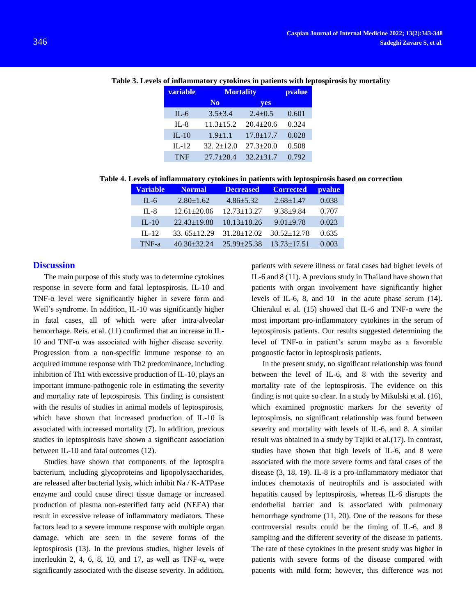# **Table 3. Levels of inflammatory cytokines in patients with leptospirosis by mortality**

| <b>Mortality</b> |                 | pvalue |
|------------------|-----------------|--------|
| N <sub>0</sub>   | yes             |        |
| $3.5 \pm 3.4$    | $2.4 \pm 0.5$   | 0.601  |
| $11.3 \pm 15.2$  | $20.4 \pm 20.6$ | 0.324  |
| $1.9 \pm 1.1$    | $17.8 \pm 17.7$ | 0.028  |
| $32.2 \pm 12.0$  | $27.3 \pm 20.0$ | 0.508  |
| $27.7 + 28.4$    | $32.2 + 31.7$   | 0.792  |
|                  |                 |        |

**Table 4. Levels of inflammatory cytokines in patients with leptospirosis based on correction**

| <b>Variable</b> | <b>Normal</b>     | <b>Decreased</b>  | <b>Corrected</b>  | <i>pvalue</i> |
|-----------------|-------------------|-------------------|-------------------|---------------|
| $IL-6$          | $2.80 \pm 1.62$   | $4.86 \pm 5.32$   | $2.68 \pm 1.47$   | 0.038         |
| $II - 8$        | $12.61 \pm 20.06$ | $12.73 \pm 13.27$ | $9.38 + 9.84$     | 0.707         |
| $IL-10$         | $22.43 \pm 19.88$ | $18.13 \pm 18.26$ | $9.01 \pm 9.78$   | 0.023         |
| $II - 12$       | 33.65 $\pm$ 12.29 | $31.28 \pm 12.02$ | $30.52 \pm 12.78$ | 0.635         |
| TNF-a           | $40.30 + 32.24$   | $25.99 + 25.38$   | $13.73 \pm 17.51$ | 0.003         |

# **Discussion**

The main purpose of this study was to determine cytokines response in severe form and fatal leptospirosis. IL-10 and TNF-α level were significantly higher in severe form and Weil's syndrome. In addition, IL-10 was significantly higher in fatal cases, all of which were after intra-alveolar hemorrhage. Reis. et al.  $(11)$  confirmed that an increase in IL-10 and TNF-α was associated with higher disease severity. Progression from a non-specific immune response to an acquired immune response with Th2 predominance, including inhibition of Th1 with excessive production of IL-10, plays an important immune-pathogenic role in estimating the severity and mortality rate of leptospirosis. This finding is consistent with the results of studies in animal models of leptospirosis, which have shown that increased production of IL-10 is associated with increased mortality [\(7\)](#page-4-4). In addition, previous studies in leptospirosis have shown a significant association between IL-10 and fatal outcomes [\(12\)](#page-4-9).

Studies have shown that components of the leptospira bacterium, including glycoproteins and lipopolysaccharides, are released after bacterial lysis, which inhibit Na / K-ATPase enzyme and could cause direct tissue damage or increased production of plasma non-esterified fatty acid (NEFA) that result in excessive release of inflammatory mediators. These factors lead to a severe immune response with multiple organ damage, which are seen in the severe forms of the leptospirosis [\(13\)](#page-4-10). In the previous studies, higher levels of interleukin 2, 4, 6, 8, 10, and 17, as well as  $TNF-\alpha$ , were significantly associated with the disease severity. In addition,

patients with severe illness or fatal cases had higher levels of IL-6 and 8 [\(11\)](#page-4-8). A previous study in Thailand have shown that patients with organ involvement have significantly higher levels of IL-6, 8, and 10 in the acute phase serum [\(14\)](#page-4-11). Chierakul et al. [\(15\)](#page-4-12) showed that IL-6 and TNF- $\alpha$  were the most important pro-inflammatory cytokines in the serum of leptospirosis patients. Our results suggested determining the level of TNF- $\alpha$  in patient's serum maybe as a favorable prognostic factor in leptospirosis patients.

In the present study, no significant relationship was found between the level of IL-6, and 8 with the severity and mortality rate of the leptospirosis. The evidence on this finding is not quite so clear. In a study by Mikulski et al. [\(16\)](#page-5-0), which examined prognostic markers for the severity of leptospirosis, no significant relationship was found between severity and mortality with levels of IL-6, and 8. A similar result was obtained in a study by Tajiki et al.[\(17\)](#page-5-1). In contrast, studies have shown that high levels of IL-6, and 8 were associated with the more severe forms and fatal cases of the disease [\(3,](#page-4-2) [18,](#page-5-2) [19\)](#page-5-3). IL-8 is a pro-inflammatory mediator that induces chemotaxis of neutrophils and is associated with hepatitis caused by leptospirosis, whereas IL-6 disrupts the endothelial barrier and is associated with pulmonary hemorrhage syndrome [\(11,](#page-4-8) [20\)](#page-5-4). One of the reasons for these controversial results could be the timing of IL-6, and 8 sampling and the different severity of the disease in patients. The rate of these cytokines in the present study was higher in patients with severe forms of the disease compared with patients with mild form; however, this difference was not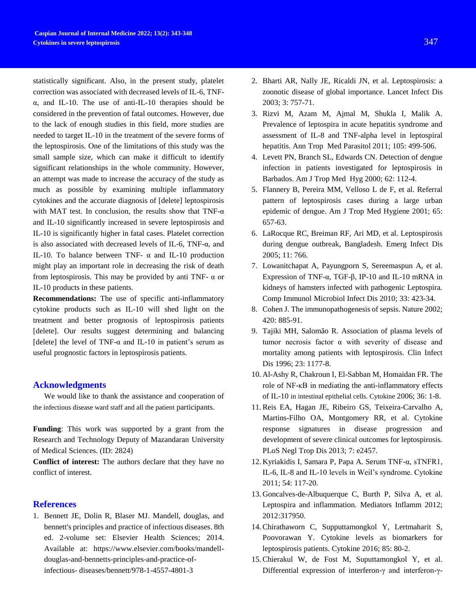statistically significant. Also, in the present study, platelet correction was associated with decreased levels of IL-6, TNFα, and IL-10. The use of anti-IL-10 therapies should be considered in the prevention of fatal outcomes. However, due to the lack of enough studies in this field, more studies are needed to target IL-10 in the treatment of the severe forms of the leptospirosis. One of the limitations of this study was the small sample size, which can make it difficult to identify significant relationships in the whole community. However, an attempt was made to increase the accuracy of the study as much as possible by examining multiple inflammatory cytokines and the accurate diagnosis of [delete] leptospirosis with MAT test. In conclusion, the results show that TNF- $\alpha$ and IL-10 significantly increased in severe leptospirosis and IL-10 is significantly higher in fatal cases. Platelet correction is also associated with decreased levels of IL-6, TNF- $\alpha$ , and IL-10. To balance between TNF-  $\alpha$  and IL-10 production might play an important role in decreasing the risk of death from leptospirosis. This may be provided by anti TNF-  $\alpha$  or IL-10 products in these patients.

**Recommendations:** The use of specific anti-inflammatory cytokine products such as IL-10 will shed light on the treatment and better prognosis of leptospirosis patients [delete]. Our results suggest determining and balancing [delete] the level of TNF- $\alpha$  and IL-10 in patient's serum as useful prognostic factors in leptospirosis patients.

# **Acknowledgments**

We would like to thank the assistance and cooperation of the infectious disease ward staff and all the patient participants.

**Funding**: This work was supported by a grant from the Research and Technology Deputy of Mazandaran University of Medical Sciences. (ID: 2824)

**Conflict of interest:** The authors declare that they have no conflict of interest.

# **References**

<span id="page-4-0"></span>1. Bennett JE, Dolin R, Blaser MJ. Mandell, douglas, and bennett's principles and practice of infectious diseases. 8th ed. 2-volume set: Elsevier Health Sciences; 2014. Available at: https://www.elsevier.com/books/mandelldouglas-and-bennetts-principles-and-practice-ofinfectious- diseases/bennett/978-1-4557-4801-3

- <span id="page-4-1"></span>2. Bharti AR, Nally JE, Ricaldi JN, et al. Leptospirosis: a zoonotic disease of global importance. Lancet Infect Dis 2003; 3: 757-71.
- <span id="page-4-2"></span>3. Rizvi M, Azam M, Ajmal M, Shukla I, Malik A. Prevalence of leptospira in acute hepatitis syndrome and assessment of IL-8 and TNF-alpha level in leptospiral hepatitis. Ann Trop Med Parasitol 2011; 105: 499-506.
- <span id="page-4-3"></span>4. Levett PN, Branch SL, Edwards CN. Detection of dengue infection in patients investigated for leptospirosis in Barbados. Am J Trop Med Hyg 2000; 62: 112-4.
- 5. Flannery B, Pereira MM, Velloso L de F, et al. Referral pattern of leptospirosis cases during a large urban epidemic of dengue. Am J Trop Med Hygiene 2001; 65: 657-63.
- 6. LaRocque RC, Breiman RF, Ari MD, et al. Leptospirosis during dengue outbreak, Bangladesh. Emerg Infect Dis 2005; 11: 766.
- <span id="page-4-4"></span>7. Lowanitchapat A, Payungporn S, Sereemaspun A, et al. Expression of TNF-α, TGF-β, IP-10 and IL-10 mRNA in kidneys of hamsters infected with pathogenic Leptospira. Comp Immunol Microbiol Infect Dis 2010; 33: 423-34.
- <span id="page-4-5"></span>8. Cohen J. The immunopathogenesis of sepsis. Nature 2002; 420: 885-91.
- <span id="page-4-6"></span>9. Tajiki MH, Salomão R. Association of plasma levels of tumor necrosis factor α with severity of disease and mortality among patients with leptospirosis. Clin Infect Dis 1996; 23: 1177-8.
- <span id="page-4-7"></span>10. Al-Ashy R, Chakroun I, El-Sabban M, Homaidan FR. The role of NF-κB in mediating the anti-inflammatory effects of IL-10 in intestinal epithelial cells. Cytokine 2006; 36: 1-8.
- <span id="page-4-8"></span>11. Reis EA, Hagan JE, Ribeiro GS, Teixeira-Carvalho A, Martins-Filho OA, Montgomery RR, et al. Cytokine response signatures in disease progression and development of severe clinical outcomes for leptospirosis. PLoS Negl Trop Dis 2013; 7: e2457.
- <span id="page-4-9"></span>12. Kyriakidis I, Samara P, Papa A. Serum TNF-α, sTNFR1, IL-6, IL-8 and IL-10 levels in Weil's syndrome. Cytokine 2011; 54: 117-20.
- <span id="page-4-10"></span>13. Goncalves-de-Albuquerque C, Burth P, Silva A, et al. Leptospira and inflammation. Mediators Inflamm 2012; 2012:317950.
- <span id="page-4-11"></span>14. Chirathaworn C, Supputtamongkol Y, Lertmaharit S, Poovorawan Y. Cytokine levels as biomarkers for leptospirosis patients. Cytokine 2016; 85: 80-2.
- <span id="page-4-12"></span>15. Chierakul W, de Fost M, Suputtamongkol Y, et al. Differential expression of interferon-γ and interferon-γ-